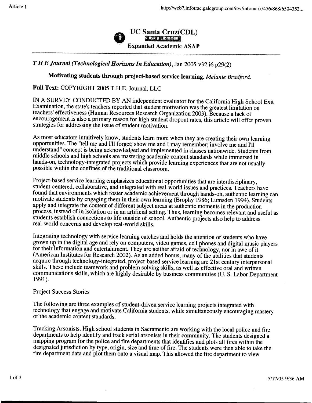

## *THE Journal (Technological Horizons In Education),* Jan 2005 v32 i6 p29(2)

## Motivating students through project-based service learning. *Melanie Bradford.*

## Full Text: COPYRIGHT 2005 T.H.E. Journal, LLC

IN A SURVEY CONDUCTED BY AN independent evaluator for the California High School Exit Examination, the state's teachers reported that student motivation was the greatest limitation on teachers' effectiveness (Human Resources Research Organization 2003). Because a lack of encouragement is also a primary reason for high student dropout rates, this article will offer proven strategies for addressing the issue of student motivation.

As most educators intuitively know, students learn more when they are creating their own learning opportunities. The "tell me and I'll forget; show me and I may remember; involve me and I'll understand" concept is being acknowledged and implemented in classes nationwide. Students from middle schools and high schools are mastering academic content standards while immersed in hands-on, technology-integrated projects which provide learning experiences that are not usually possible within the confines of the traditional classroom.

Project-based service learning emphasizes educational opportunities that are interdisciplinary, student-centered, collaborative, and integrated with real-world issues and practices. Teachers have found that environments which foster academic achievement through hands-on, authentic learning can motivate students by engaging them in their own learning (Brophy 1986; Lumsden 1994). Students apply and integrate the content of different subject areas at authentic moments in the production process, instead of in isolation or in an artificial setting. Thus, learning becomes relevant and useful as students establish connections to life outside of school. Authentic projects also help to address real-world concerns and develop real-world skills.

Integrating technology with service learning catches and holds the attention of students who have grown up in the digital age and rely on computers, video games, cell phones and digital music players for their information and entertainment. They are neither afraid of technology, nor in awe of it (American Institutes for Research 2002). As an added bonus, many of the abilities that students acquire through technology-integrated, project-based service learning are 21st century interpersonal skills. These include teamwork and problem solving skills, as well as effective oral and written communications skills, which are highly desirable by business communities (U. S. Labor Department 1991).

## Project Success Stories

The following are three examples of student-driven service learning projects integrated with technology that engage and motivate California students, while simultaneously encouraging mastery of the academic content standards.

Tracking Arsonists. High school students in Sacramento are working with the local police and fire departments to help identify and track serial arsonists in their community. The students designed a mapping program for the police and fire departments that identifies and plots all fires within the designated jurisdiction by type, origin, size and time of fire. The students were then able to take the fire department data and plot them onto a visual map. This allowed the fire department to view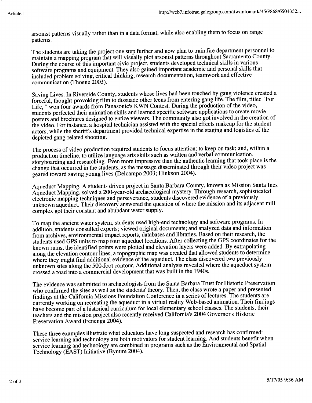arsonist patterns visually rather than in a data format, while also enabling them to focus on range patterns.

The students are taking the project one step further and now plan to train fire department personnel to maintain a mapping program that will visually plot arsonist patterns throughout Sacramento County. During the course of this important civic project, students developed technical skills in various software programs and equipment. They also gained important academic and personal skills that included problem solving, critical thinking, research documentation, teamwork and effective communication (Thoene 2003).

Saving Lives. In Riverside County, students whose lives had been touched by gang violence created a forceful, thought-provoking film to dissuade other teens from entering gang life. The film, titled "For Life, " won four awards from Panasonic's KWN Contest. During the production of the video, students perfected their animation skills and learned specific software applications to create movie posters and brochures designed to entice viewers. The community also got involved in the creation of the video. For instance, a hospital technician assisted with the special effects makeup for the student actors, while the sheriffs department provided technical expertise in the staging and logistics of the depicted gang-related shooting.

The process of video production required students to focus attention; to keep on task; and, within a production timeline, to utilize language arts skills such as written and verbal communication, storyboarding and researching. Even more impressive than the authentic learning that took place is the change that occurred in the students, as the message disseminated through their video project was geared toward saving young lives (Delcampo 2003; Hinkson 2004).

Aqueduct Mapping. A student- driven project in Santa Barbara County, known as Mission Santa Ines Aqueduct Mapping, solved a 200-year-old archaeological mystery. Through research, sophisticated electronic mapping techniques and perseverance, students discovered evidence of a previously unknown aqueduct. Their discovery answered the question of where the mission and its adjacent mill complex got their constant and abundant water supply.

To map the ancient water system, students used high-end technology and software programs. In addition, students consulted experts; viewed original documents; and analyzed data and information from archives, environmental impact reports, databases and libraries. Based on their research, the students used GPS units to map four aqueduct locations. After collecting the GPS coordinates for the known ruins, the identified points were plotted and elevation layers were added. By extrapolating along the elevation contour lines, a topographic map was created that allowed students to determine where they might find additional evidence of the aqueduct. The class discovered two previously unknown sites along the 500-foot contour. Additional analysis revealed where the aqueduct system crossed a road into a commercial development that was built in the 1940s.

The evidence was submitted to archaeologists from the Santa Barbara Trust for Historic Preservation who confirmed the sites as well as the students' theory. Then, the class wrote a paper and presented findings at the California Missions Foundation Conference in a series of lectures. The students are currently working on recreating the aqueduct in a virtual reality Web-based animation. Their findings have become part of a historical curriculum for local elementary school classes. The students, their teachers and the mission project also recently received California's 2004 Governor's Historic Preservation Award (Fenenga 2004).

These three examples illustrate what educators have long suspected and research has confirmed: service learning and technology are both motivators for student learning. And students benefit when service learning and technology are combined in programs such as the Environmental and Spatial Technology (EAST) Initiative (Bynum 2004).